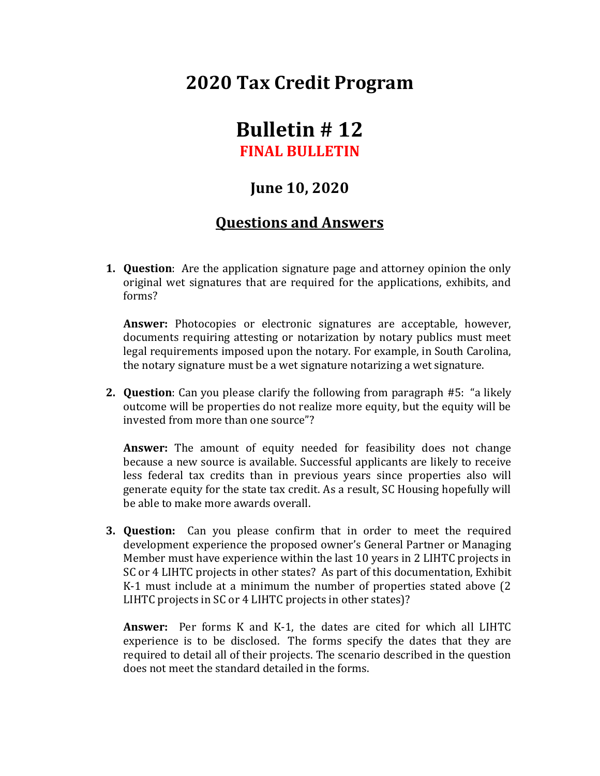## **2020 Tax Credit Program**

## **Bulletin # 12 FINAL BULLETIN**

## **June 10, 2020**

## **Questions and Answers**

**1. Question**: Are the application signature page and attorney opinion the only original wet signatures that are required for the applications, exhibits, and forms?

**Answer:** Photocopies or electronic signatures are acceptable, however, documents requiring attesting or notarization by notary publics must meet legal requirements imposed upon the notary. For example, in South Carolina, the notary signature must be a wet signature notarizing a wet signature.

**2. Question**: Can you please clarify the following from paragraph #5: "a likely outcome will be properties do not realize more equity, but the equity will be invested from more than one source"?

**Answer:** The amount of equity needed for feasibility does not change because a new source is available. Successful applicants are likely to receive less federal tax credits than in previous years since properties also will generate equity for the state tax credit. As a result, SC Housing hopefully will be able to make more awards overall.

**3. Question:** Can you please confirm that in order to meet the required development experience the proposed owner's General Partner or Managing Member must have experience within the last 10 years in 2 LIHTC projects in SC or 4 LIHTC projects in other states? As part of this documentation, Exhibit K-1 must include at a minimum the number of properties stated above (2 LIHTC projects in SC or 4 LIHTC projects in other states)?

**Answer:** Per forms K and K-1, the dates are cited for which all LIHTC experience is to be disclosed. The forms specify the dates that they are required to detail all of their projects. The scenario described in the question does not meet the standard detailed in the forms.